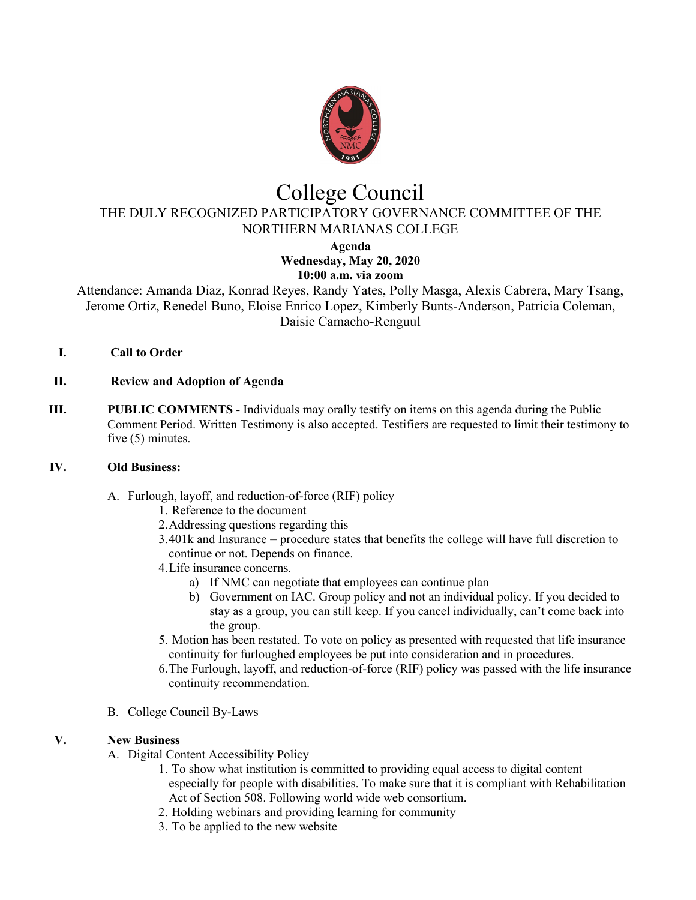

# College Council

THE DULY RECOGNIZED PARTICIPATORY GOVERNANCE COMMITTEE OF THE NORTHERN MARIANAS COLLEGE

**Agenda**

#### **Wednesday, May 20, 2020 10:00 a.m. via zoom**

Attendance: Amanda Diaz, Konrad Reyes, Randy Yates, Polly Masga, Alexis Cabrera, Mary Tsang, Jerome Ortiz, Renedel Buno, Eloise Enrico Lopez, Kimberly Bunts-Anderson, Patricia Coleman, Daisie Camacho-Renguul

- **I. Call to Order**
- **II. Review and Adoption of Agenda**
- **III. PUBLIC COMMENTS** Individuals may orally testify on items on this agenda during the Public Comment Period. Written Testimony is also accepted. Testifiers are requested to limit their testimony to five (5) minutes.

## **IV. Old Business:**

- A. Furlough, layoff, and reduction-of-force (RIF) policy
	- 1. Reference to the document
	- 2.Addressing questions regarding this
	- 3.401k and Insurance = procedure states that benefits the college will have full discretion to continue or not. Depends on finance.
	- 4.Life insurance concerns.
		- a) If NMC can negotiate that employees can continue plan
		- b) Government on IAC. Group policy and not an individual policy. If you decided to stay as a group, you can still keep. If you cancel individually, can't come back into the group.
	- 5. Motion has been restated. To vote on policy as presented with requested that life insurance continuity for furloughed employees be put into consideration and in procedures.
	- 6.The Furlough, layoff, and reduction-of-force (RIF) policy was passed with the life insurance continuity recommendation.
- B. College Council By-Laws

## **V. New Business**

- A. Digital Content Accessibility Policy
	- 1. To show what institution is committed to providing equal access to digital content especially for people with disabilities. To make sure that it is compliant with Rehabilitation Act of Section 508. Following world wide web consortium.
	- 2. Holding webinars and providing learning for community
	- 3. To be applied to the new website